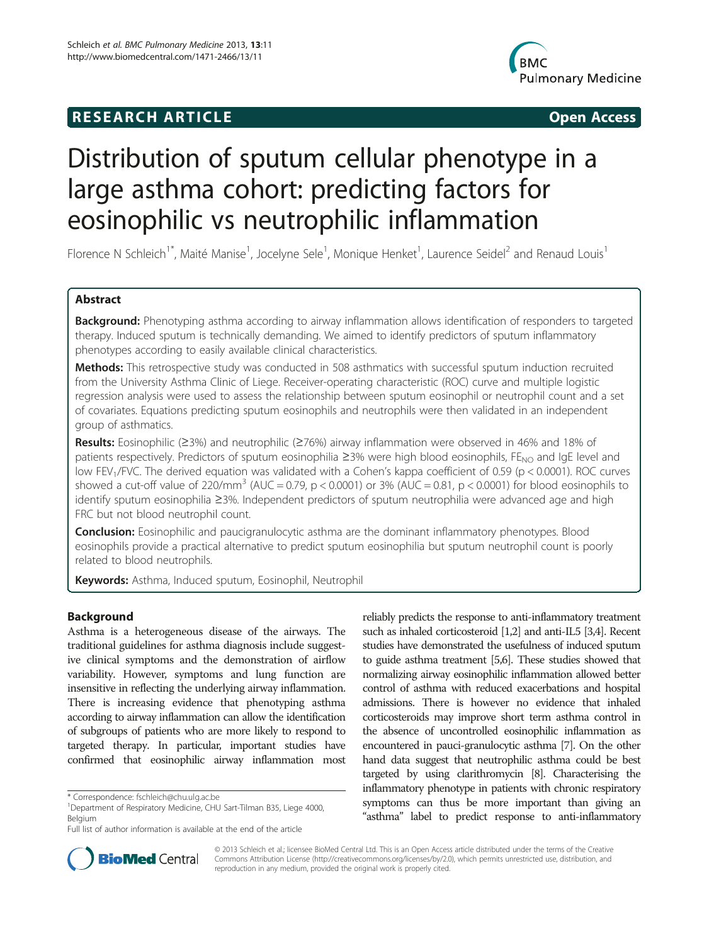# **RESEARCH ARTICLE CONSUMING A RESEARCH ARTICLE**



# Distribution of sputum cellular phenotype in a large asthma cohort: predicting factors for eosinophilic vs neutrophilic inflammation

Florence N Schleich<sup>1\*</sup>, Maité Manise<sup>1</sup>, Jocelyne Sele<sup>1</sup>, Monique Henket<sup>1</sup>, Laurence Seidel<sup>2</sup> and Renaud Louis<sup>1</sup>

# Abstract

Background: Phenotyping asthma according to airway inflammation allows identification of responders to targeted therapy. Induced sputum is technically demanding. We aimed to identify predictors of sputum inflammatory phenotypes according to easily available clinical characteristics.

Methods: This retrospective study was conducted in 508 asthmatics with successful sputum induction recruited from the University Asthma Clinic of Liege. Receiver-operating characteristic (ROC) curve and multiple logistic regression analysis were used to assess the relationship between sputum eosinophil or neutrophil count and a set of covariates. Equations predicting sputum eosinophils and neutrophils were then validated in an independent group of asthmatics.

Results: Eosinophilic (≥3%) and neutrophilic (≥76%) airway inflammation were observed in 46% and 18% of patients respectively. Predictors of sputum eosinophilia ≥3% were high blood eosinophils, FE<sub>NO</sub> and IgE level and low FEV<sub>1</sub>/FVC. The derived equation was validated with a Cohen's kappa coefficient of 0.59 (p < 0.0001). ROC curves showed a cut-off value of 220/mm<sup>3</sup> (AUC = 0.79, p < 0.0001) or 3% (AUC = 0.81, p < 0.0001) for blood eosinophils to identify sputum eosinophilia ≥3%. Independent predictors of sputum neutrophilia were advanced age and high FRC but not blood neutrophil count.

**Conclusion:** Eosinophilic and paucigranulocytic asthma are the dominant inflammatory phenotypes. Blood eosinophils provide a practical alternative to predict sputum eosinophilia but sputum neutrophil count is poorly related to blood neutrophils.

Keywords: Asthma, Induced sputum, Eosinophil, Neutrophil

# Background

Asthma is a heterogeneous disease of the airways. The traditional guidelines for asthma diagnosis include suggestive clinical symptoms and the demonstration of airflow variability. However, symptoms and lung function are insensitive in reflecting the underlying airway inflammation. There is increasing evidence that phenotyping asthma according to airway inflammation can allow the identification of subgroups of patients who are more likely to respond to targeted therapy. In particular, important studies have confirmed that eosinophilic airway inflammation most

reliably predicts the response to anti-inflammatory treatment such as inhaled corticosteroid [\[1,2\]](#page-6-0) and anti-IL5 [[3,4\]](#page-6-0). Recent studies have demonstrated the usefulness of induced sputum to guide asthma treatment [\[5,6](#page-6-0)]. These studies showed that normalizing airway eosinophilic inflammation allowed better control of asthma with reduced exacerbations and hospital admissions. There is however no evidence that inhaled corticosteroids may improve short term asthma control in the absence of uncontrolled eosinophilic inflammation as encountered in pauci-granulocytic asthma [\[7\]](#page-6-0). On the other hand data suggest that neutrophilic asthma could be best targeted by using clarithromycin [\[8\]](#page-6-0). Characterising the inflammatory phenotype in patients with chronic respiratory symptoms can thus be more important than giving an "asthma" label to predict response to anti-inflammatory



© 2013 Schleich et al.; licensee BioMed Central Ltd. This is an Open Access article distributed under the terms of the Creative Commons Attribution License [\(http://creativecommons.org/licenses/by/2.0\)](http://creativecommons.org/licenses/by/2.0), which permits unrestricted use, distribution, and reproduction in any medium, provided the original work is properly cited.

<sup>\*</sup> Correspondence: [fschleich@chu.ulg.ac.be](mailto:fschleich@chu.ulg.ac.be) <sup>1</sup>

<sup>&</sup>lt;sup>1</sup>Department of Respiratory Medicine, CHU Sart-Tilman B35, Liege 4000, Belgium

Full list of author information is available at the end of the article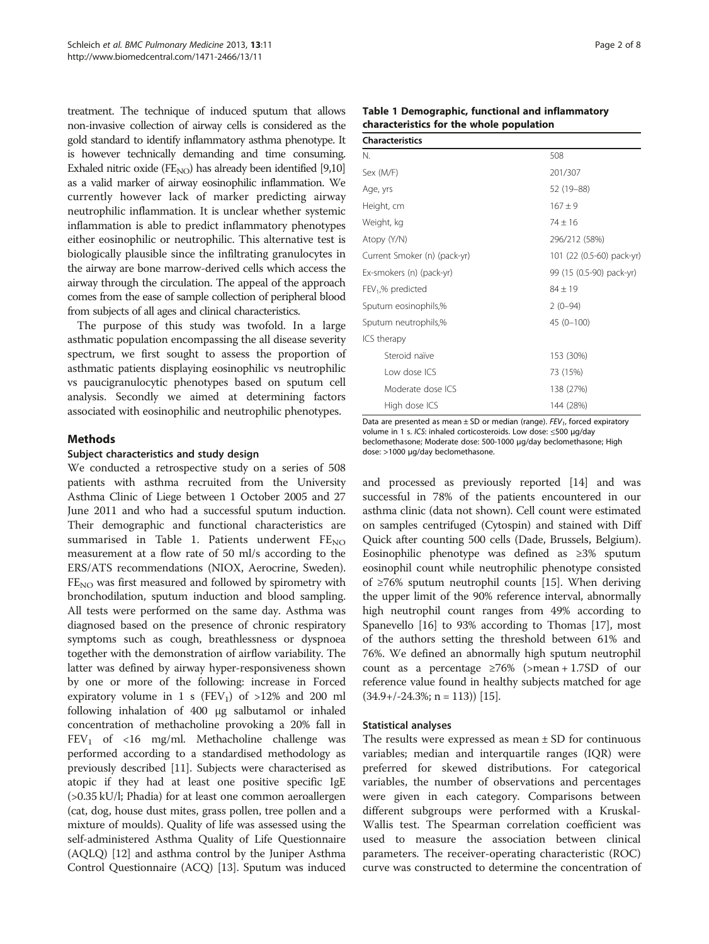<span id="page-1-0"></span>treatment. The technique of induced sputum that allows non-invasive collection of airway cells is considered as the gold standard to identify inflammatory asthma phenotype. It is however technically demanding and time consuming. Exhaled nitric oxide  $(FE_{NO})$  has already been identified [\[9,10](#page-6-0)] as a valid marker of airway eosinophilic inflammation. We currently however lack of marker predicting airway neutrophilic inflammation. It is unclear whether systemic inflammation is able to predict inflammatory phenotypes either eosinophilic or neutrophilic. This alternative test is biologically plausible since the infiltrating granulocytes in the airway are bone marrow-derived cells which access the airway through the circulation. The appeal of the approach comes from the ease of sample collection of peripheral blood from subjects of all ages and clinical characteristics.

The purpose of this study was twofold. In a large asthmatic population encompassing the all disease severity spectrum, we first sought to assess the proportion of asthmatic patients displaying eosinophilic vs neutrophilic vs paucigranulocytic phenotypes based on sputum cell analysis. Secondly we aimed at determining factors associated with eosinophilic and neutrophilic phenotypes.

# Methods

## Subject characteristics and study design

We conducted a retrospective study on a series of 508 patients with asthma recruited from the University Asthma Clinic of Liege between 1 October 2005 and 27 June 2011 and who had a successful sputum induction. Their demographic and functional characteristics are summarised in Table 1. Patients underwent  $FE_{NO}$ measurement at a flow rate of 50 ml/s according to the ERS/ATS recommendations (NIOX, Aerocrine, Sweden).  $FE<sub>NO</sub>$  was first measured and followed by spirometry with bronchodilation, sputum induction and blood sampling. All tests were performed on the same day. Asthma was diagnosed based on the presence of chronic respiratory symptoms such as cough, breathlessness or dyspnoea together with the demonstration of airflow variability. The latter was defined by airway hyper-responsiveness shown by one or more of the following: increase in Forced expiratory volume in 1 s (FEV<sub>1</sub>) of  $>12\%$  and 200 ml following inhalation of 400 μg salbutamol or inhaled concentration of methacholine provoking a 20% fall in  $FEV<sub>1</sub>$  of <16 mg/ml. Methacholine challenge was performed according to a standardised methodology as previously described [[11](#page-7-0)]. Subjects were characterised as atopic if they had at least one positive specific IgE (>0.35 kU/l; Phadia) for at least one common aeroallergen (cat, dog, house dust mites, grass pollen, tree pollen and a mixture of moulds). Quality of life was assessed using the self-administered Asthma Quality of Life Questionnaire (AQLQ) [\[12\]](#page-7-0) and asthma control by the Juniper Asthma Control Questionnaire (ACQ) [[13\]](#page-7-0). Sputum was induced

| Page 2 of 8 |  |  |  |
|-------------|--|--|--|
|-------------|--|--|--|

| Table 1 Demographic, functional and inflammatory |
|--------------------------------------------------|
| characteristics for the whole population         |

| <b>Characteristics</b>       |                           |
|------------------------------|---------------------------|
| N.                           | 508                       |
| Sex (M/F)                    | 201/307                   |
| Age, yrs                     | 52 (19-88)                |
| Height, cm                   | $167 + 9$                 |
| Weight, kg                   | $74 + 16$                 |
| Atopy (Y/N)                  | 296/212 (58%)             |
| Current Smoker (n) (pack-yr) | 101 (22 (0.5-60) pack-yr) |
| Ex-smokers (n) (pack-yr)     | 99 (15 (0.5-90) pack-yr)  |
| $FEV1$ % predicted           | $84 + 19$                 |
| Sputum eosinophils,%         | $2(0-94)$                 |
| Sputum neutrophils,%         | $45(0 - 100)$             |
| ICS therapy                  |                           |
| Steroid naïve                | 153 (30%)                 |
| Low dose ICS                 | 73 (15%)                  |
| Moderate dose ICS            | 138 (27%)                 |
| High dose ICS                | 144 (28%)                 |

Data are presented as mean  $\pm$  SD or median (range). FEV<sub>1</sub>, forced expiratory volume in 1 s. ICS: inhaled corticosteroids. Low dose: ≤500 μg/day beclomethasone; Moderate dose: 500-1000 μg/day beclomethasone; High dose: >1000 μg/day beclomethasone.

and processed as previously reported [\[14](#page-7-0)] and was successful in 78% of the patients encountered in our asthma clinic (data not shown). Cell count were estimated on samples centrifuged (Cytospin) and stained with Diff Quick after counting 500 cells (Dade, Brussels, Belgium). Eosinophilic phenotype was defined as ≥3% sputum eosinophil count while neutrophilic phenotype consisted of ≥76% sputum neutrophil counts [\[15\]](#page-7-0). When deriving the upper limit of the 90% reference interval, abnormally high neutrophil count ranges from 49% according to Spanevello [[16](#page-7-0)] to 93% according to Thomas [[17](#page-7-0)], most of the authors setting the threshold between 61% and 76%. We defined an abnormally high sputum neutrophil count as a percentage  $\geq 76\%$  (>mean + 1.7SD of our reference value found in healthy subjects matched for age  $(34.9+/-24.3\%; n = 113)$  [15].

#### Statistical analyses

The results were expressed as mean  $\pm$  SD for continuous variables; median and interquartile ranges (IQR) were preferred for skewed distributions. For categorical variables, the number of observations and percentages were given in each category. Comparisons between different subgroups were performed with a Kruskal-Wallis test. The Spearman correlation coefficient was used to measure the association between clinical parameters. The receiver-operating characteristic (ROC) curve was constructed to determine the concentration of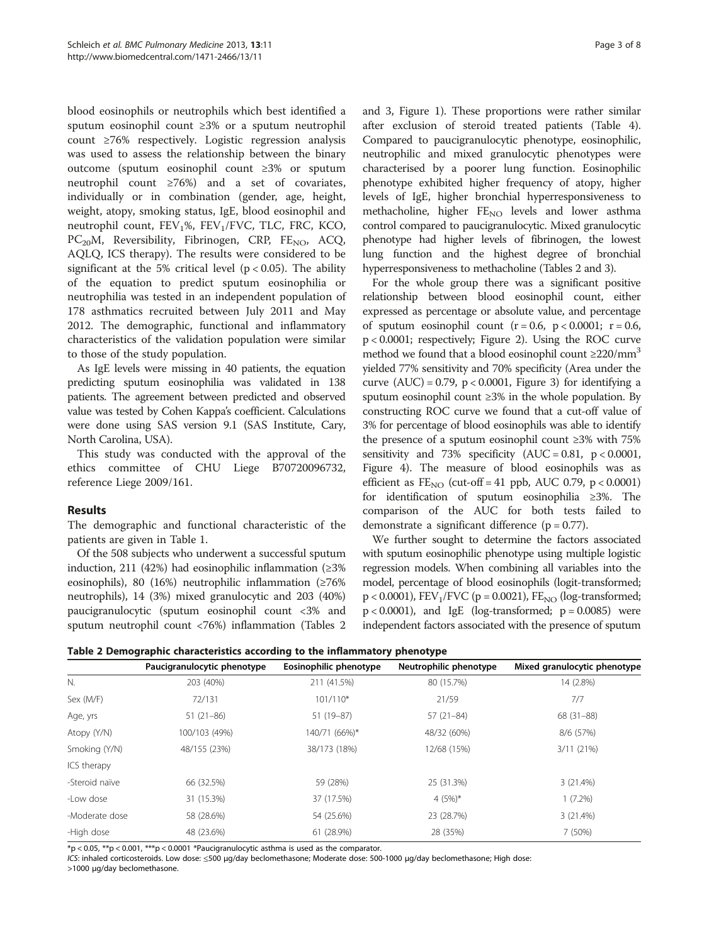blood eosinophils or neutrophils which best identified a sputum eosinophil count ≥3% or a sputum neutrophil count ≥76% respectively. Logistic regression analysis was used to assess the relationship between the binary outcome (sputum eosinophil count ≥3% or sputum neutrophil count ≥76%) and a set of covariates, individually or in combination (gender, age, height, weight, atopy, smoking status, IgE, blood eosinophil and neutrophil count, FEV<sub>1</sub>%, FEV<sub>1</sub>/FVC, TLC, FRC, KCO,  $PC<sub>20</sub>M$ , Reversibility, Fibrinogen, CRP, FE<sub>NO</sub>, ACQ, AQLQ, ICS therapy). The results were considered to be significant at the 5% critical level ( $p < 0.05$ ). The ability of the equation to predict sputum eosinophilia or neutrophilia was tested in an independent population of 178 asthmatics recruited between July 2011 and May 2012. The demographic, functional and inflammatory characteristics of the validation population were similar to those of the study population.

As IgE levels were missing in 40 patients, the equation predicting sputum eosinophilia was validated in 138 patients. The agreement between predicted and observed value was tested by Cohen Kappa's coefficient. Calculations were done using SAS version 9.1 (SAS Institute, Cary, North Carolina, USA).

This study was conducted with the approval of the ethics committee of CHU Liege B70720096732, reference Liege 2009/161.

# Results

The demographic and functional characteristic of the patients are given in Table [1.](#page-1-0)

Of the 508 subjects who underwent a successful sputum induction, 211 (42%) had eosinophilic inflammation (≥3% eosinophils), 80 (16%) neutrophilic inflammation (≥76% neutrophils), 14 (3%) mixed granulocytic and 203 (40%) paucigranulocytic (sputum eosinophil count <3% and sputum neutrophil count <76%) inflammation (Tables 2 and [3,](#page-3-0) Figure [1](#page-3-0)). These proportions were rather similar after exclusion of steroid treated patients (Table [4](#page-4-0)). Compared to paucigranulocytic phenotype, eosinophilic, neutrophilic and mixed granulocytic phenotypes were characterised by a poorer lung function. Eosinophilic phenotype exhibited higher frequency of atopy, higher levels of IgE, higher bronchial hyperresponsiveness to methacholine, higher  $FE_{NO}$  levels and lower asthma control compared to paucigranulocytic. Mixed granulocytic phenotype had higher levels of fibrinogen, the lowest lung function and the highest degree of bronchial hyperresponsiveness to methacholine (Tables 2 and [3\)](#page-3-0).

For the whole group there was a significant positive relationship between blood eosinophil count, either expressed as percentage or absolute value, and percentage of sputum eosinophil count  $(r = 0.6, p < 0.0001; r = 0.6,$ p < 0.0001; respectively; Figure [2\)](#page-4-0). Using the ROC curve method we found that a blood eosinophil count  $\geq$ 220/mm<sup>3</sup> yielded 77% sensitivity and 70% specificity (Area under the curve  $(AUC) = 0.79$ ,  $p < 0.0001$ , Figure [3](#page-4-0)) for identifying a sputum eosinophil count ≥3% in the whole population. By constructing ROC curve we found that a cut-off value of 3% for percentage of blood eosinophils was able to identify the presence of a sputum eosinophil count ≥3% with 75% sensitivity and 73% specificity  $(AUC = 0.81, p < 0.0001,$ Figure [4\)](#page-5-0). The measure of blood eosinophils was as efficient as  $FE_{NO}$  (cut-off = 41 ppb, AUC 0.79, p < 0.0001) for identification of sputum eosinophilia ≥3%. The comparison of the AUC for both tests failed to demonstrate a significant difference  $(p = 0.77)$ .

We further sought to determine the factors associated with sputum eosinophilic phenotype using multiple logistic regression models. When combining all variables into the model, percentage of blood eosinophils (logit-transformed;  $p < 0.0001$ ), FEV<sub>1</sub>/FVC ( $p = 0.0021$ ), FE<sub>NO</sub> (log-transformed;  $p < 0.0001$ ), and IgE (log-transformed;  $p = 0.0085$ ) were independent factors associated with the presence of sputum

| Table 2 Demographic characteristics according to the inflammatory phenotype |  |  |  |  |
|-----------------------------------------------------------------------------|--|--|--|--|
|-----------------------------------------------------------------------------|--|--|--|--|

|                | Paucigranulocytic phenotype | Eosinophilic phenotype | Neutrophilic phenotype | Mixed granulocytic phenotype |
|----------------|-----------------------------|------------------------|------------------------|------------------------------|
| N.             | 203 (40%)                   | 211 (41.5%)            | 80 (15.7%)             | 14 (2.8%)                    |
| Sex (M/F)      | 72/131                      | $101/110*$             | 21/59                  | 7/7                          |
| Age, yrs       | $51(21-86)$                 | $51(19-87)$            | $57(21-84)$            | 68 (31-88)                   |
| Atopy (Y/N)    | 100/103 (49%)               | 140/71 (66%)*          | 48/32 (60%)            | 8/6 (57%)                    |
| Smoking (Y/N)  | 48/155 (23%)                | 38/173 (18%)           | 12/68 (15%)            | 3/11(21%)                    |
| ICS therapy    |                             |                        |                        |                              |
| -Steroid naïve | 66 (32.5%)                  | 59 (28%)               | 25 (31.3%)             | 3(21.4%)                     |
| -Low dose      | 31 (15.3%)                  | 37 (17.5%)             | 4 $(5%)^*$             | $1(7.2\%)$                   |
| -Moderate dose | 58 (28.6%)                  | 54 (25.6%)             | 23 (28.7%)             | 3(21.4%)                     |
| -High dose     | 48 (23.6%)                  | 61 (28.9%)             | 28 (35%)               | 7 (50%)                      |

 $*p < 0.05$ ,  $**p < 0.001$ ,  $***p < 0.0001$  \*Paucigranulocytic asthma is used as the comparator.

ICS: inhaled corticosteroids. Low dose: ≤500 μg/day beclomethasone; Moderate dose: 500-1000 μg/day beclomethasone; High dose: >1000 μg/day beclomethasone.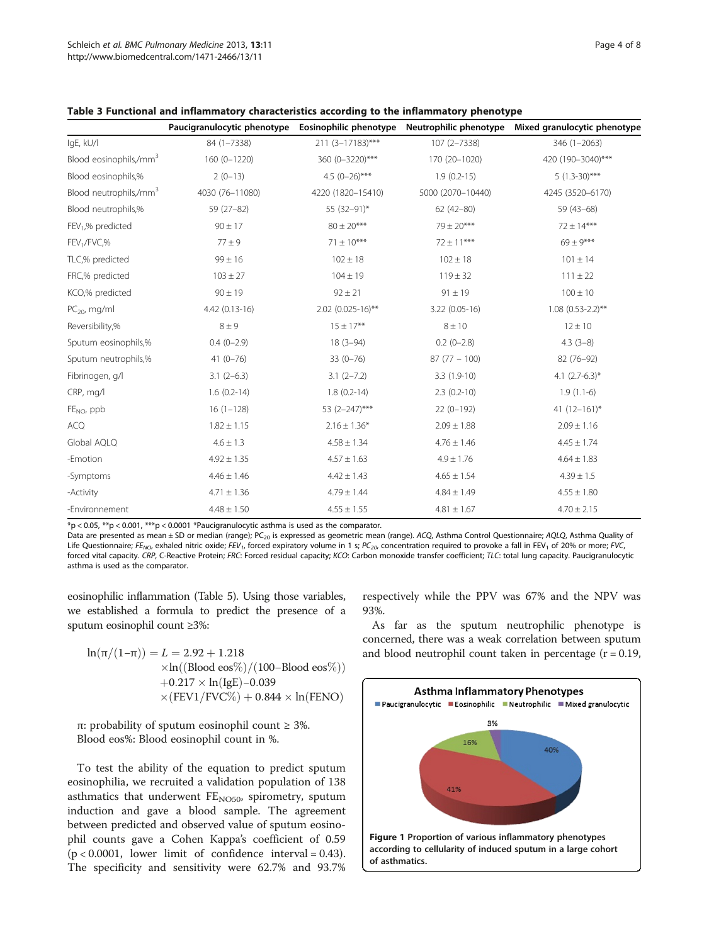|                                    |                 |                     |                   | Paucigranulocytic phenotype Eosinophilic phenotype Neutrophilic phenotype Mixed granulocytic phenotype |
|------------------------------------|-----------------|---------------------|-------------------|--------------------------------------------------------------------------------------------------------|
| IgE, kU/l                          | 84 (1-7338)     | 211 (3-17183)***    | 107 (2-7338)      | 346 (1-2063)                                                                                           |
| Blood eosinophils,/mm <sup>3</sup> | $160(0 - 1220)$ | 360 (0-3220)***     | 170 (20-1020)     | 420 (190-3040)***                                                                                      |
| Blood eosinophils,%                | $2(0-13)$       | 4.5 $(0-26)$ ***    | $1.9(0.2-15)$     | $5(1.3-30)$ ***                                                                                        |
| Blood neutrophils,/mm <sup>3</sup> | 4030 (76-11080) | 4220 (1820-15410)   | 5000 (2070-10440) | 4245 (3520-6170)                                                                                       |
| Blood neutrophils,%                | $59(27-82)$     | 55 (32-91)*         | $62(42 - 80)$     | $59(43-68)$                                                                                            |
| FEV <sub>1</sub> ,% predicted      | $90 \pm 17$     | $80 \pm 20***$      | $79 \pm 20***$    | $72 \pm 14***$                                                                                         |
| FEV <sub>1</sub> /FVC,%            | $77 \pm 9$      | $71 \pm 10***$      | $72 \pm 11***$    | $69 \pm 9***$                                                                                          |
| TLC,% predicted                    | $99 \pm 16$     | $102 \pm 18$        | $102 \pm 18$      | $101 \pm 14$                                                                                           |
| FRC,% predicted                    | $103 \pm 27$    | $104 \pm 19$        | $119 \pm 32$      | $111 \pm 22$                                                                                           |
| KCO,% predicted                    | $90 \pm 19$     | $92 \pm 21$         | $91 \pm 19$       | $100 \pm 10$                                                                                           |
| $PC_{20}$ , mg/ml                  | 4.42 (0.13-16)  | $2.02$ (0.025-16)** | 3.22 (0.05-16)    | $1.08$ (0.53-2.2)**                                                                                    |
| Reversibility,%                    | $8 \pm 9$       | $15 \pm 17***$      | $8 \pm 10$        | $12 \pm 10$                                                                                            |
| Sputum eosinophils,%               | $0.4(0-2.9)$    | $18(3-94)$          | $0.2(0-2.8)$      | $4.3(3-8)$                                                                                             |
| Sputum neutrophils,%               | $41(0-76)$      | $33(0 - 76)$        | $87(77 - 100)$    | 82 (76-92)                                                                                             |
| Fibrinogen, g/l                    | $3.1(2-6.3)$    | $3.1(2 - 7.2)$      | $3.3(1.9-10)$     | 4.1 $(2.7-6.3)$ *                                                                                      |
| CRP, mg/l                          | $1.6(0.2-14)$   | $1.8(0.2-14)$       | $2.3(0.2-10)$     | $1.9(1.1-6)$                                                                                           |
| $FENO$ , ppb                       | $16(1-128)$     | 53 (2-247)***       | $22(0-192)$       | 41 $(12-161)^{*}$                                                                                      |
| <b>ACQ</b>                         | $1.82 \pm 1.15$ | $2.16 \pm 1.36*$    | $2.09 \pm 1.88$   | $2.09 \pm 1.16$                                                                                        |
| Global AQLQ                        | $4.6 \pm 1.3$   | $4.58 \pm 1.34$     | $4.76 \pm 1.46$   | $4.45 \pm 1.74$                                                                                        |
| -Emotion                           | $4.92 \pm 1.35$ | $4.57 \pm 1.63$     | $4.9 \pm 1.76$    | $4.64 \pm 1.83$                                                                                        |
| -Symptoms                          | $4.46 \pm 1.46$ | $4.42 \pm 1.43$     | $4.65 \pm 1.54$   | $4.39 \pm 1.5$                                                                                         |
| -Activity                          | $4.71 \pm 1.36$ | $4.79 \pm 1.44$     | $4.84 \pm 1.49$   | $4.55 \pm 1.80$                                                                                        |
| -Environnement                     | $4.48 \pm 1.50$ | $4.55 \pm 1.55$     | $4.81 \pm 1.67$   | $4.70 \pm 2.15$                                                                                        |

<span id="page-3-0"></span>

| Table 3 Functional and inflammatory characteristics according to the inflammatory phenotype |  |  |  |
|---------------------------------------------------------------------------------------------|--|--|--|
|---------------------------------------------------------------------------------------------|--|--|--|

 $*p$  < 0.05,  $**p$  < 0.001,  $***p$  < 0.0001 \*Paucigranulocytic asthma is used as the comparator.

Data are presented as mean ± SD or median (range); PC<sub>20</sub> is expressed as geometric mean (range). ACQ, Asthma Control Questionnaire; AQLQ, Asthma Quality of Life Questionnaire; FE<sub>NO</sub>, exhaled nitric oxide; FEV<sub>1</sub>, forced expiratory volume in 1 s; PC<sub>20</sub>, concentration required to provoke a fall in FEV<sub>1</sub> of 20% or more; FVC, forced vital capacity. CRP, C-Reactive Protein; FRC: Forced residual capacity; KCO: Carbon monoxide transfer coefficient; TLC: total lung capacity. Paucigranulocytic asthma is used as the comparator.

eosinophilic inflammation (Table [5](#page-5-0)). Using those variables, we established a formula to predict the presence of a sputum eosinophil count ≥3%:

$$
\begin{aligned} \ln(\pi/(1-\pi)) &= L = 2.92 + 1.218 \\ & \times \ln((\text{ Blood eos\%})/(100-\text{ Blood eos\%})) \\ & + 0.217 \times \ln(\text{IgE}) - 0.039 \\ & \times (\text{FEV1/FVC\%}) + 0.844 \times \ln(\text{FENO}) \end{aligned}
$$

π: probability of sputum eosinophil count ≥ 3%. Blood eos%: Blood eosinophil count in %.

To test the ability of the equation to predict sputum eosinophilia, we recruited a validation population of 138 asthmatics that underwent  $FE<sub>NO50</sub>$ , spirometry, sputum induction and gave a blood sample. The agreement between predicted and observed value of sputum eosinophil counts gave a Cohen Kappa's coefficient of 0.59  $(p < 0.0001$ , lower limit of confidence interval = 0.43). The specificity and sensitivity were 62.7% and 93.7%

respectively while the PPV was 67% and the NPV was 93%.

As far as the sputum neutrophilic phenotype is concerned, there was a weak correlation between sputum and blood neutrophil count taken in percentage  $(r = 0.19,$ 

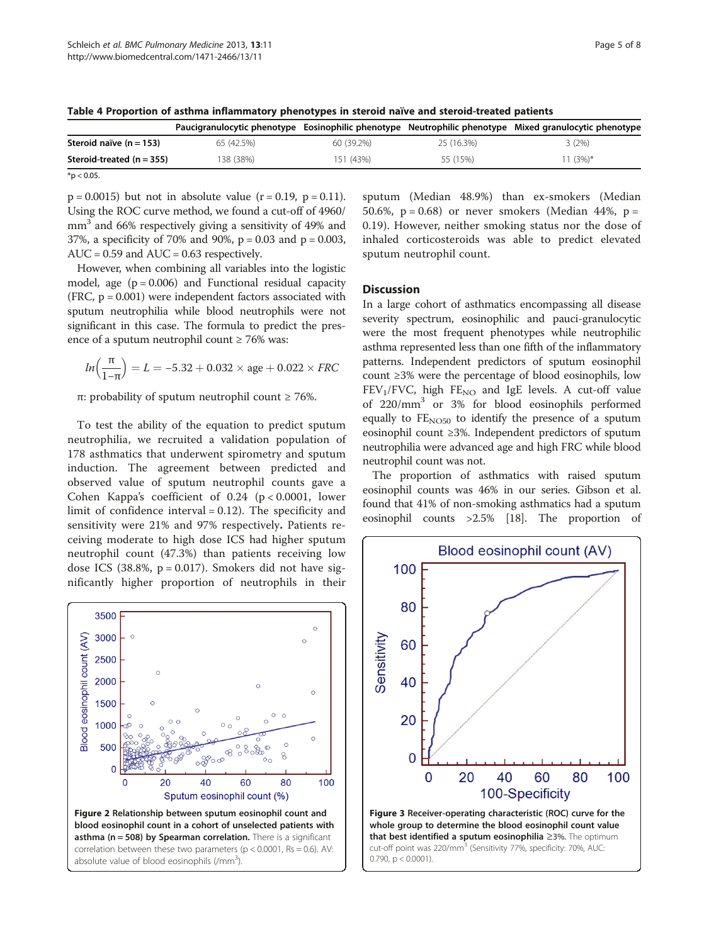|                             |            |            |            | Paucigranulocytic phenotype Eosinophilic phenotype Neutrophilic phenotype Mixed granulocytic phenotype |
|-----------------------------|------------|------------|------------|--------------------------------------------------------------------------------------------------------|
| Steroid naïve $(n = 153)$   | 65 (42.5%) | 60 (39.2%) | 25 (16.3%) | 3(2%)                                                                                                  |
| Steroid-treated $(n = 355)$ | 138 (38%)  | 151 (43%)  | 55 (15%)   | 11 (3%)*                                                                                               |

<span id="page-4-0"></span>Table 4 Proportion of asthma inflammatory phenotypes in steroid naïve and steroid-treated patients

 $*$ p < 0.05.

 $p = 0.0015$ ) but not in absolute value  $(r = 0.19, p = 0.11)$ . Using the ROC curve method, we found a cut-off of 4960/ mm<sup>3</sup> and 66% respectively giving a sensitivity of 49% and 37%, a specificity of 70% and 90%, p = 0.03 and p = 0.003,  $AUC = 0.59$  and  $AUC = 0.63$  respectively.

However, when combining all variables into the logistic model, age  $(p = 0.006)$  and Functional residual capacity  $(FRC, p = 0.001)$  were independent factors associated with sputum neutrophilia while blood neutrophils were not significant in this case. The formula to predict the presence of a sputum neutrophil count ≥ 76% was:

$$
\text{ln}\left(\frac{\pi}{1-\pi}\right) = L = -5.32 + 0.032 \times age + 0.022 \times \text{FRC}
$$

π: probability of sputum neutrophil count ≥ 76%.

To test the ability of the equation to predict sputum neutrophilia, we recruited a validation population of 178 asthmatics that underwent spirometry and sputum induction. The agreement between predicted and observed value of sputum neutrophil counts gave a Cohen Kappa's coefficient of  $0.24$  (p < 0.0001, lower limit of confidence interval = 0.12). The specificity and sensitivity were 21% and 97% respectively. Patients receiving moderate to high dose ICS had higher sputum neutrophil count (47.3%) than patients receiving low dose ICS (38.8%,  $p = 0.017$ ). Smokers did not have significantly higher proportion of neutrophils in their



sputum (Median 48.9%) than ex-smokers (Median 50.6%,  $p = 0.68$ ) or never smokers (Median 44%,  $p =$ 0.19). However, neither smoking status nor the dose of inhaled corticosteroids was able to predict elevated sputum neutrophil count.

# **Discussion**

In a large cohort of asthmatics encompassing all disease severity spectrum, eosinophilic and pauci-granulocytic were the most frequent phenotypes while neutrophilic asthma represented less than one fifth of the inflammatory patterns. Independent predictors of sputum eosinophil count ≥3% were the percentage of blood eosinophils, low  $FEV<sub>1</sub>/FVC$ , high  $FE<sub>NO</sub>$  and IgE levels. A cut-off value of 220/mm3 or 3% for blood eosinophils performed equally to  $FE<sub>NO50</sub>$  to identify the presence of a sputum eosinophil count ≥3%. Independent predictors of sputum neutrophilia were advanced age and high FRC while blood neutrophil count was not.

The proportion of asthmatics with raised sputum eosinophil counts was 46% in our series. Gibson et al. found that 41% of non-smoking asthmatics had a sputum eosinophil counts >2.5% [\[18\]](#page-7-0). The proportion of

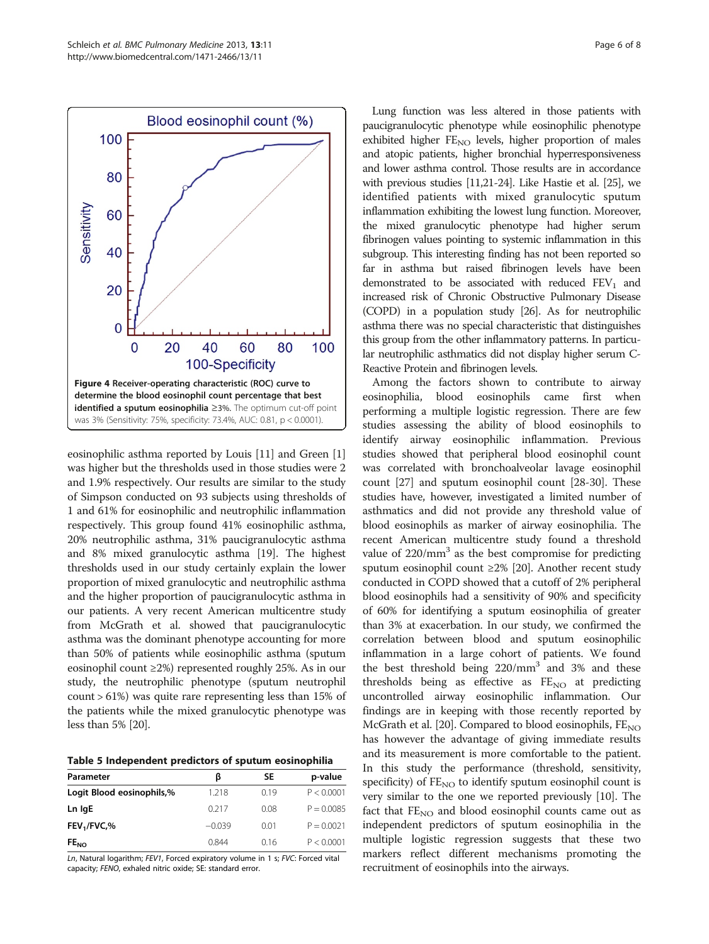<span id="page-5-0"></span>

eosinophilic asthma reported by Louis [[11](#page-7-0)] and Green [[1](#page-6-0)] was higher but the thresholds used in those studies were 2 and 1.9% respectively. Our results are similar to the study of Simpson conducted on 93 subjects using thresholds of 1 and 61% for eosinophilic and neutrophilic inflammation respectively. This group found 41% eosinophilic asthma, 20% neutrophilic asthma, 31% paucigranulocytic asthma and 8% mixed granulocytic asthma [\[19\]](#page-7-0). The highest thresholds used in our study certainly explain the lower proportion of mixed granulocytic and neutrophilic asthma and the higher proportion of paucigranulocytic asthma in our patients. A very recent American multicentre study from McGrath et al. showed that paucigranulocytic asthma was the dominant phenotype accounting for more than 50% of patients while eosinophilic asthma (sputum eosinophil count ≥2%) represented roughly 25%. As in our study, the neutrophilic phenotype (sputum neutrophil count > 61%) was quite rare representing less than 15% of the patients while the mixed granulocytic phenotype was less than 5% [\[20](#page-7-0)].

| Table 5 Independent predictors of sputum eosinophilia |  |  |  |
|-------------------------------------------------------|--|--|--|
|-------------------------------------------------------|--|--|--|

| Parameter                            | ß        | SΕ   | p-value      |
|--------------------------------------|----------|------|--------------|
| Logit Blood eosinophils,%            | 1.218    | 0.19 | P < 0.0001   |
| Ln IgE                               | 0.217    | 0.08 | $P = 0.0085$ |
| FEV <sub>1</sub> /FVC, <sub>96</sub> | $-0.039$ | 0.01 | $P = 0.0021$ |
| FE <sub>NO</sub>                     | 0.844    | 016  | P < 0.0001   |

Ln, Natural logarithm; FEV1, Forced expiratory volume in 1 s; FVC: Forced vital capacity; FENO, exhaled nitric oxide; SE: standard error.

Lung function was less altered in those patients with paucigranulocytic phenotype while eosinophilic phenotype exhibited higher FE<sub>NO</sub> levels, higher proportion of males and atopic patients, higher bronchial hyperresponsiveness and lower asthma control. Those results are in accordance with previous studies [[11,21-24\]](#page-7-0). Like Hastie et al. [\[25](#page-7-0)], we identified patients with mixed granulocytic sputum inflammation exhibiting the lowest lung function. Moreover, the mixed granulocytic phenotype had higher serum fibrinogen values pointing to systemic inflammation in this subgroup. This interesting finding has not been reported so far in asthma but raised fibrinogen levels have been demonstrated to be associated with reduced  $FEV<sub>1</sub>$  and increased risk of Chronic Obstructive Pulmonary Disease (COPD) in a population study [\[26](#page-7-0)]. As for neutrophilic asthma there was no special characteristic that distinguishes this group from the other inflammatory patterns. In particular neutrophilic asthmatics did not display higher serum C-Reactive Protein and fibrinogen levels.

Among the factors shown to contribute to airway eosinophilia, blood eosinophils came first when performing a multiple logistic regression. There are few studies assessing the ability of blood eosinophils to identify airway eosinophilic inflammation. Previous studies showed that peripheral blood eosinophil count was correlated with bronchoalveolar lavage eosinophil count [\[27\]](#page-7-0) and sputum eosinophil count [\[28-30](#page-7-0)]. These studies have, however, investigated a limited number of asthmatics and did not provide any threshold value of blood eosinophils as marker of airway eosinophilia. The recent American multicentre study found a threshold value of  $220/mm^3$  as the best compromise for predicting sputum eosinophil count ≥2% [\[20\]](#page-7-0). Another recent study conducted in COPD showed that a cutoff of 2% peripheral blood eosinophils had a sensitivity of 90% and specificity of 60% for identifying a sputum eosinophilia of greater than 3% at exacerbation. In our study, we confirmed the correlation between blood and sputum eosinophilic inflammation in a large cohort of patients. We found the best threshold being 220/mm<sup>3</sup> and 3% and these thresholds being as effective as  $FE<sub>NO</sub>$  at predicting uncontrolled airway eosinophilic inflammation. Our findings are in keeping with those recently reported by McGrath et al. [[20](#page-7-0)]. Compared to blood eosinophils,  $FE_{NO}$ has however the advantage of giving immediate results and its measurement is more comfortable to the patient. In this study the performance (threshold, sensitivity, specificity) of  $FE_{NO}$  to identify sputum eosinophil count is very similar to the one we reported previously [[10\]](#page-6-0). The fact that  $FE<sub>NO</sub>$  and blood eosinophil counts came out as independent predictors of sputum eosinophilia in the multiple logistic regression suggests that these two markers reflect different mechanisms promoting the recruitment of eosinophils into the airways.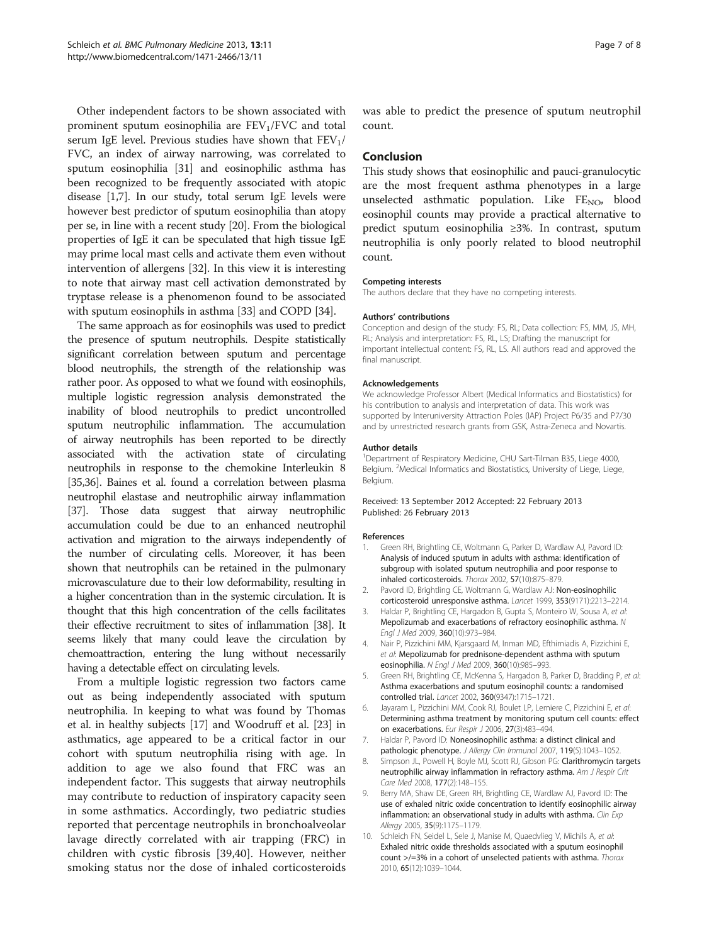<span id="page-6-0"></span>Other independent factors to be shown associated with prominent sputum eosinophilia are  $FEV<sub>1</sub>/FVC$  and total serum IgE level. Previous studies have shown that  $FEV<sub>1</sub>/$ FVC, an index of airway narrowing, was correlated to sputum eosinophilia [[31](#page-7-0)] and eosinophilic asthma has been recognized to be frequently associated with atopic disease [1,7]. In our study, total serum IgE levels were however best predictor of sputum eosinophilia than atopy per se, in line with a recent study [\[20\]](#page-7-0). From the biological properties of IgE it can be speculated that high tissue IgE may prime local mast cells and activate them even without intervention of allergens [\[32](#page-7-0)]. In this view it is interesting to note that airway mast cell activation demonstrated by tryptase release is a phenomenon found to be associated with sputum eosinophils in asthma [\[33](#page-7-0)] and COPD [[34](#page-7-0)].

The same approach as for eosinophils was used to predict the presence of sputum neutrophils. Despite statistically significant correlation between sputum and percentage blood neutrophils, the strength of the relationship was rather poor. As opposed to what we found with eosinophils, multiple logistic regression analysis demonstrated the inability of blood neutrophils to predict uncontrolled sputum neutrophilic inflammation. The accumulation of airway neutrophils has been reported to be directly associated with the activation state of circulating neutrophils in response to the chemokine Interleukin 8 [[35,36\]](#page-7-0). Baines et al. found a correlation between plasma neutrophil elastase and neutrophilic airway inflammation [[37](#page-7-0)]. Those data suggest that airway neutrophilic accumulation could be due to an enhanced neutrophil activation and migration to the airways independently of the number of circulating cells. Moreover, it has been shown that neutrophils can be retained in the pulmonary microvasculature due to their low deformability, resulting in a higher concentration than in the systemic circulation. It is thought that this high concentration of the cells facilitates their effective recruitment to sites of inflammation [\[38\]](#page-7-0). It seems likely that many could leave the circulation by chemoattraction, entering the lung without necessarily having a detectable effect on circulating levels.

From a multiple logistic regression two factors came out as being independently associated with sputum neutrophilia. In keeping to what was found by Thomas et al. in healthy subjects [\[17](#page-7-0)] and Woodruff et al. [\[23](#page-7-0)] in asthmatics, age appeared to be a critical factor in our cohort with sputum neutrophilia rising with age. In addition to age we also found that FRC was an independent factor. This suggests that airway neutrophils may contribute to reduction of inspiratory capacity seen in some asthmatics. Accordingly, two pediatric studies reported that percentage neutrophils in bronchoalveolar lavage directly correlated with air trapping (FRC) in children with cystic fibrosis [[39,40](#page-7-0)]. However, neither smoking status nor the dose of inhaled corticosteroids was able to predict the presence of sputum neutrophil count.

## Conclusion

This study shows that eosinophilic and pauci-granulocytic are the most frequent asthma phenotypes in a large unselected asthmatic population. Like  $FE<sub>NO</sub>$ , blood eosinophil counts may provide a practical alternative to predict sputum eosinophilia ≥3%. In contrast, sputum neutrophilia is only poorly related to blood neutrophil count.

#### Competing interests

The authors declare that they have no competing interests.

#### Authors' contributions

Conception and design of the study: FS, RL; Data collection: FS, MM, JS, MH, RL; Analysis and interpretation: FS, RL, LS; Drafting the manuscript for important intellectual content: FS, RL, LS. All authors read and approved the final manuscript.

#### Acknowledgements

We acknowledge Professor Albert (Medical Informatics and Biostatistics) for his contribution to analysis and interpretation of data. This work was supported by Interuniversity Attraction Poles (IAP) Project P6/35 and P7/30 and by unrestricted research grants from GSK, Astra-Zeneca and Novartis.

#### Author details

<sup>1</sup>Department of Respiratory Medicine, CHU Sart-Tilman B35, Liege 4000 Belgium. <sup>2</sup>Medical Informatics and Biostatistics, University of Liege, Liege, Belgium.

#### Received: 13 September 2012 Accepted: 22 February 2013 Published: 26 February 2013

#### References

- 1. Green RH, Brightling CE, Woltmann G, Parker D, Wardlaw AJ, Pavord ID: Analysis of induced sputum in adults with asthma: identification of subgroup with isolated sputum neutrophilia and poor response to inhaled corticosteroids. Thorax 2002, 57(10):875–879.
- 2. Pavord ID, Brightling CE, Woltmann G, Wardlaw AJ: Non-eosinophilic corticosteroid unresponsive asthma. Lancet 1999, 353(9171):2213–2214.
- 3. Haldar P, Brightling CE, Hargadon B, Gupta S, Monteiro W, Sousa A, et al: Mepolizumab and exacerbations of refractory eosinophilic asthma. N Engl J Med 2009, 360(10):973–984.
- 4. Nair P, Pizzichini MM, Kjarsgaard M, Inman MD, Efthimiadis A, Pizzichini E, et al: Mepolizumab for prednisone-dependent asthma with sputum eosinophilia. N Engl J Med 2009, 360(10):985–993.
- 5. Green RH, Brightling CE, McKenna S, Hargadon B, Parker D, Bradding P, et al: Asthma exacerbations and sputum eosinophil counts: a randomised controlled trial. Lancet 2002, 360(9347):1715–1721.
- 6. Jayaram L, Pizzichini MM, Cook RJ, Boulet LP, Lemiere C, Pizzichini E, et al: Determining asthma treatment by monitoring sputum cell counts: effect on exacerbations. Eur Respir J 2006, 27(3):483–494.
- 7. Haldar P, Pavord ID: Noneosinophilic asthma: a distinct clinical and pathologic phenotype. J Allergy Clin Immunol 2007, 119(5):1043-1052.
- 8. Simpson JL, Powell H, Boyle MJ, Scott RJ, Gibson PG: Clarithromycin targets neutrophilic airway inflammation in refractory asthma. Am J Respir Crit Care Med 2008, 177(2):148–155.
- 9. Berry MA, Shaw DE, Green RH, Brightling CE, Wardlaw AJ, Pavord ID: The use of exhaled nitric oxide concentration to identify eosinophilic airway inflammation: an observational study in adults with asthma. Clin Exp Allergy 2005, 35(9):1175–1179.
- 10. Schleich FN, Seidel L, Sele J, Manise M, Quaedvlieg V, Michils A, et al: Exhaled nitric oxide thresholds associated with a sputum eosinophil count >/=3% in a cohort of unselected patients with asthma. Thorax 2010, 65(12):1039–1044.